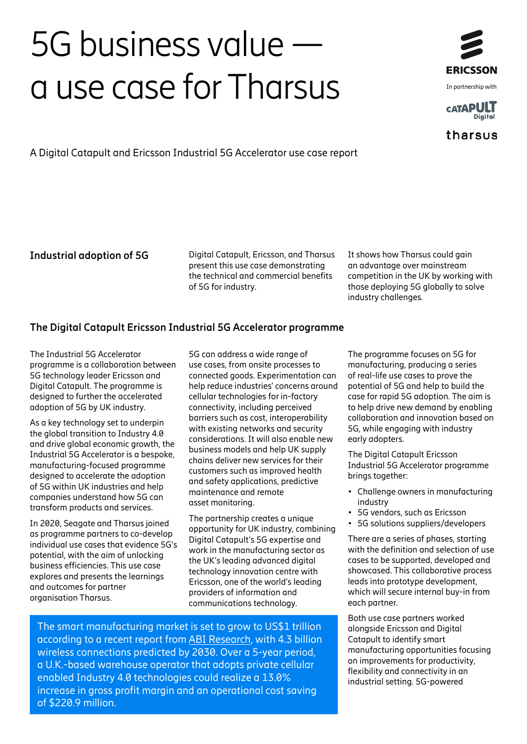# 5G business value a use case for Tharsus



tharsus

A Digital Catapult and Ericsson Industrial 5G Accelerator use case report

**Industrial adoption of 5G** Digital Catapult, Ericsson, and Tharsus present this use case demonstrating the technical and commercial benefits of 5G for industry.

It shows how Tharsus could gain an advantage over mainstream competition in the UK by working with those deploying 5G globally to solve industry challenges.

# **The Digital Catapult Ericsson Industrial 5G Accelerator programme**

The Industrial 5G Accelerator programme is a collaboration between 5G technology leader Ericsson and Digital Catapult. The programme is designed to further the accelerated adoption of 5G by UK industry.

As a key technology set to underpin the global transition to Industry 4.0 and drive global economic growth, the Industrial 5G Accelerator is a bespoke, manufacturing-focused programme designed to accelerate the adoption of 5G within UK industries and help companies understand how 5G can transform products and services.

In 2020, Seagate and Tharsus joined as programme partners to co-develop individual use cases that evidence 5G's potential, with the aim of unlocking business efficiencies. This use case explores and presents the learnings and outcomes for partner organisation Tharsus.

5G can address a wide range of use cases, from onsite processes to connected goods. Experimentation can help reduce industries' concerns around cellular technologies for in-factory connectivity, including perceived barriers such as cost, interoperability with existing networks and security considerations. It will also enable new business models and help UK supply chains deliver new services for their customers such as improved health and safety applications, predictive maintenance and remote asset monitoring.

The partnership creates a unique opportunity for UK industry, combining Digital Catapult's 5G expertise and work in the manufacturing sector as the UK's leading advanced digital technology innovation centre with Ericsson, one of the world's leading providers of information and communications technology.

The smart manufacturing market is set to grow to US\$1 trillion according to a recent report from [ABI Research](https://www.ericsson.com/en/blog/2019/11/unlock-the-value-on-industry-4-0), with 4.3 billion wireless connections predicted by 2030. Over a 5-year period, a U.K.-based warehouse operator that adopts private cellular enabled Industry 4.0 technologies could realize a 13.0% increase in gross profit margin and an operational cost saving of \$220.9 million.

The programme focuses on 5G for manufacturing, producing a series of real-life use cases to prove the potential of 5G and help to build the case for rapid 5G adoption. The aim is to help drive new demand by enabling collaboration and innovation based on 5G, while engaging with industry early adopters.

The Digital Catapult Ericsson Industrial 5G Accelerator programme brings together:

- Challenge owners in manufacturing industry
- 5G vendors, such as Ericsson
- 5G solutions suppliers/developers

There are a series of phases, starting with the definition and selection of use cases to be supported, developed and showcased. This collaborative process leads into prototype development, which will secure internal buy-in from each partner.

Both use case partners worked alongside Ericsson and Digital Catapult to identify smart manufacturing opportunities focusing on improvements for productivity, flexibility and connectivity in an industrial setting. 5G-powered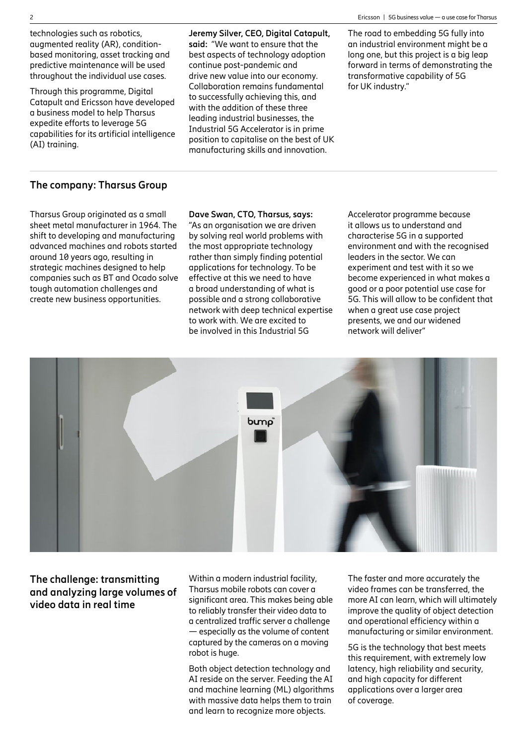technologies such as robotics, augmented reality (AR), conditionbased monitoring, asset tracking and predictive maintenance will be used throughout the individual use cases.

Through this programme, Digital Catapult and Ericsson have developed a business model to help Tharsus expedite efforts to leverage 5G capabilities for its artificial intelligence (AI) training.

**Jeremy Silver, CEO, Digital Catapult, said:** "We want to ensure that the best aspects of technology adoption continue post-pandemic and drive new value into our economy. Collaboration remains fundamental to successfully achieving this, and with the addition of these three leading industrial businesses, the Industrial 5G Accelerator is in prime position to capitalise on the best of UK manufacturing skills and innovation.

The road to embedding 5G fully into an industrial environment might be a long one, but this project is a big leap forward in terms of demonstrating the transformative capability of 5G for UK industry."

#### **The company: Tharsus Group**

Tharsus Group originated as a small sheet metal manufacturer in 1964. The shift to developing and manufacturing advanced machines and robots started around 10 years ago, resulting in strategic machines designed to help companies such as BT and Ocado solve tough automation challenges and create new business opportunities.

**Dave Swan, CTO, Tharsus, says:** "As an organisation we are driven by solving real world problems with the most appropriate technology rather than simply finding potential applications for technology. To be effective at this we need to have a broad understanding of what is possible and a strong collaborative network with deep technical expertise to work with. We are excited to be involved in this Industrial 5G

Accelerator programme because it allows us to understand and characterise 5G in a supported environment and with the recognised leaders in the sector. We can experiment and test with it so we become experienced in what makes a good or a poor potential use case for 5G. This will allow to be confident that when a great use case project presents, we and our widened network will deliver"



# **The challenge: transmitting and analyzing large volumes of video data in real time**

Within a modern industrial facility, Tharsus mobile robots can cover a significant area. This makes being able to reliably transfer their video data to a centralized traffic server a challenge — especially as the volume of content captured by the cameras on a moving robot is huge.

Both object detection technology and AI reside on the server. Feeding the AI and machine learning (ML) algorithms with massive data helps them to train and learn to recognize more objects.

The faster and more accurately the video frames can be transferred, the more AI can learn, which will ultimately improve the quality of object detection and operational efficiency within a manufacturing or similar environment.

5G is the technology that best meets this requirement, with extremely low latency, high reliability and security, and high capacity for different applications over a larger area of coverage.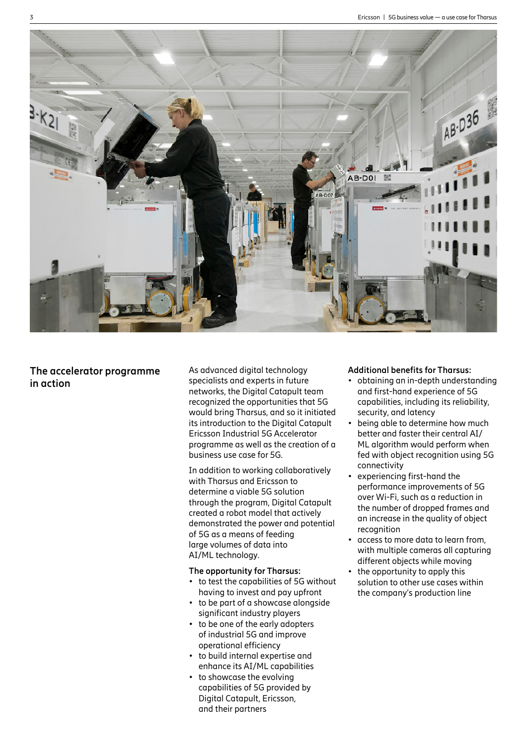

# **The accelerator programme in action**

As advanced digital technology specialists and experts in future networks, the Digital Catapult team recognized the opportunities that 5G would bring Tharsus, and so it initiated its introduction to the Digital Catapult Ericsson Industrial 5G Accelerator programme as well as the creation of a business use case for 5G.

In addition to working collaboratively with Tharsus and Ericsson to determine a viable 5G solution through the program, Digital Catapult created a robot model that actively demonstrated the power and potential of 5G as a means of feeding large volumes of data into AI/ML technology.

#### **The opportunity for Tharsus:**

- to test the capabilities of 5G without having to invest and pay upfront
- to be part of a showcase alongside significant industry players
- to be one of the early adopters of industrial 5G and improve operational efficiency
- to build internal expertise and enhance its AI/ML capabilities
- to showcase the evolving capabilities of 5G provided by Digital Catapult, Ericsson, and their partners

#### **Additional benefits for Tharsus:**

- obtaining an in-depth understanding and first-hand experience of 5G capabilities, including its reliability, security, and latency
- being able to determine how much better and faster their central AI/ ML algorithm would perform when fed with object recognition using 5G connectivity
- experiencing first-hand the performance improvements of 5G over Wi-Fi, such as a reduction in the number of dropped frames and an increase in the quality of object recognition
- $\cdot$  access to more data to learn from, with multiple cameras all capturing different objects while moving
- the opportunity to apply this solution to other use cases within the company's production line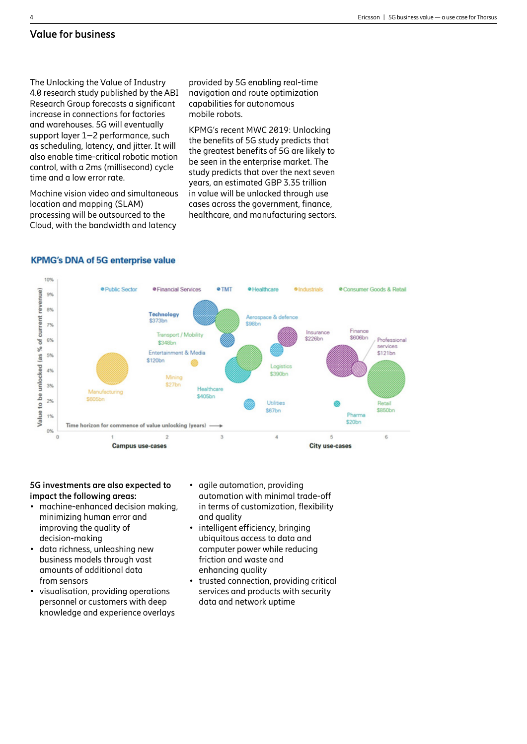### **Value for business**

The Unlocking the Value of Industry 4.0 research study published by the ABI Research Group forecasts a significant increase in connections for factories and warehouses. 5G will eventually support layer 1–2 performance, such as scheduling, latency, and jitter. It will also enable time-critical robotic motion control, with a 2ms (millisecond) cycle time and a low error rate.

Machine vision video and simultaneous location and mapping (SLAM) processing will be outsourced to the Cloud, with the bandwidth and latency

provided by 5G enabling real-time navigation and route optimization capabilities for autonomous mobile robots.

KPMG's recent MWC 2019: Unlocking the benefits of 5G study predicts that the greatest benefits of 5G are likely to be seen in the enterprise market. The study predicts that over the next seven years, an estimated GBP 3.35 trillion in value will be unlocked through use cases across the government, finance, healthcare, and manufacturing sectors.



#### **KPMG's DNA of 5G enterprise value**

#### **5G investments are also expected to impact the following areas:**

- machine-enhanced decision making. minimizing human error and improving the quality of decision-making
- data richness, unleashing new business models through vast amounts of additional data from sensors
- visualisation, providing operations personnel or customers with deep knowledge and experience overlays
- agile automation, providing automation with minimal trade-off in terms of customization, flexibility and quality
- intelligent efficiency, bringing ubiquitous access to data and computer power while reducing friction and waste and enhancing quality
- trusted connection, providing critical services and products with security data and network uptime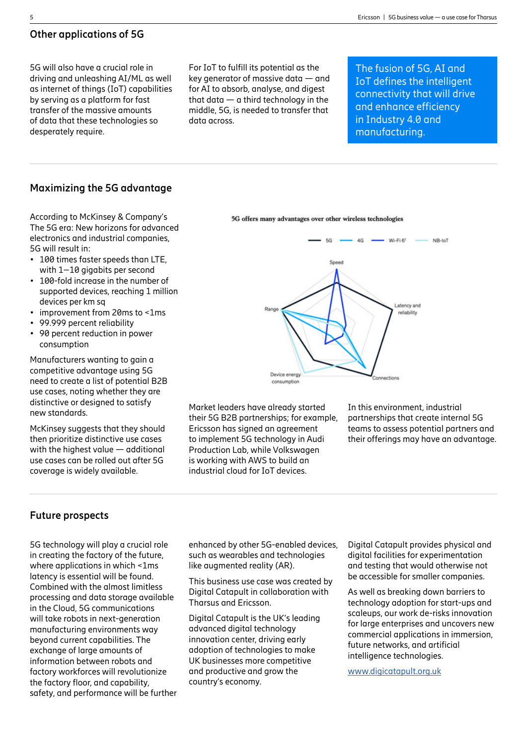# **Other applications of 5G**

5G will also have a crucial role in driving and unleashing AI/ML as well as internet of things (IoT) capabilities by serving as a platform for fast transfer of the massive amounts of data that these technologies so desperately require.

For IoT to fulfill its potential as the key generator of massive data — and for AI to absorb, analyse, and digest that data — a third technology in the middle, 5G, is needed to transfer that data across.

The fusion of 5G, AI and IoT defines the intelligent connectivity that will drive and enhance efficiency in Industry 4.0 and manufacturing.

#### **Maximizing the 5G advantage**

According to McKinsey & Company's The 5G era: New horizons for advanced electronics and industrial companies, 5G will result in:

- $\cdot$  100 times faster speeds than LTE. with 1–10 gigabits per second
- 100-fold increase in the number of supported devices, reaching 1 million devices per km sq
- improvement from 20ms to <1ms
- 99.999 percent reliability
- 90 percent reduction in power consumption

Manufacturers wanting to gain a competitive advantage using 5G need to create a list of potential B2B use cases, noting whether they are distinctive or designed to satisfy new standards.

McKinsey suggests that they should then prioritize distinctive use cases with the highest value — additional use cases can be rolled out after 5G coverage is widely available.



Market leaders have already started their 5G B2B partnerships; for example, Ericsson has signed an agreement to implement 5G technology in Audi Production Lab, while Volkswagen is working with AWS to build an industrial cloud for IoT devices.

In this environment, industrial partnerships that create internal 5G teams to assess potential partners and their offerings may have an advantage.

# **Future prospects**

5G technology will play a crucial role in creating the factory of the future, where applications in which <1ms latency is essential will be found. Combined with the almost limitless processing and data storage available in the Cloud, 5G communications will take robots in next-generation manufacturing environments way beyond current capabilities. The exchange of large amounts of information between robots and factory workforces will revolutionize the factory floor, and capability, safety, and performance will be further enhanced by other 5G-enabled devices, such as wearables and technologies like augmented reality (AR).

This business use case was created by Digital Catapult in collaboration with Tharsus and Ericsson.

Digital Catapult is the UK's leading advanced digital technology innovation center, driving early adoption of technologies to make UK businesses more competitive and productive and grow the country's economy.

Digital Catapult provides physical and digital facilities for experimentation and testing that would otherwise not be accessible for smaller companies.

As well as breaking down barriers to technology adoption for start-ups and scaleups, our work de-risks innovation for large enterprises and uncovers new commercial applications in immersion, future networks, and artificial intelligence technologies.

[www.digicatapult.org.uk](http://www.digicatapult.org.uk)